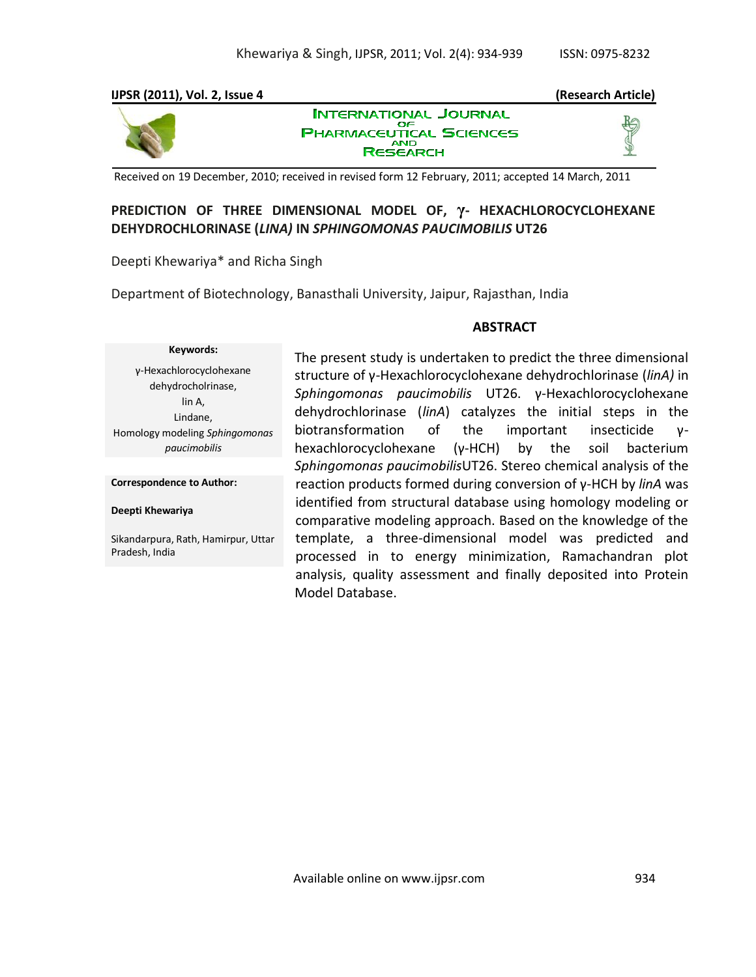

# **PREDICTION OF THREE DIMENSIONAL MODEL OF, γ- HEXACHLOROCYCLOHEXANE DEHYDROCHLORINASE (***LINA)* **IN** *SPHINGOMONAS PAUCIMOBILIS* **UT26**

Deepti Khewariya\* and Richa Singh

Department of Biotechnology, Banasthali University, Jaipur, Rajasthan, India

### **ABSTRACT**

# **Keywords:**

γ-Hexachlorocyclohexane dehydrocholrinase, lin A, Lindane, Homology modeling *Sphingomonas paucimobilis*

**Correspondence to Author:**

**Deepti Khewariya**

Sikandarpura, Rath, Hamirpur, Uttar Pradesh, India

The present study is undertaken to predict the three dimensional structure of γ-Hexachlorocyclohexane dehydrochlorinase (*linA)* in *Sphingomonas paucimobilis* UT26. γ-Hexachlorocyclohexane dehydrochlorinase (*linA*) catalyzes the initial steps in the biotransformation of the important insecticide γhexachlorocyclohexane (γ-HCH) by the soil bacterium *Sphingomonas paucimobilis*UT26. Stereo chemical analysis of the reaction products formed during conversion of γ-HCH by *linA* was identified from structural database using homology modeling or comparative modeling approach. Based on the knowledge of the template, a three-dimensional model was predicted and processed in to energy minimization, Ramachandran plot analysis, quality assessment and finally deposited into Protein Model Database.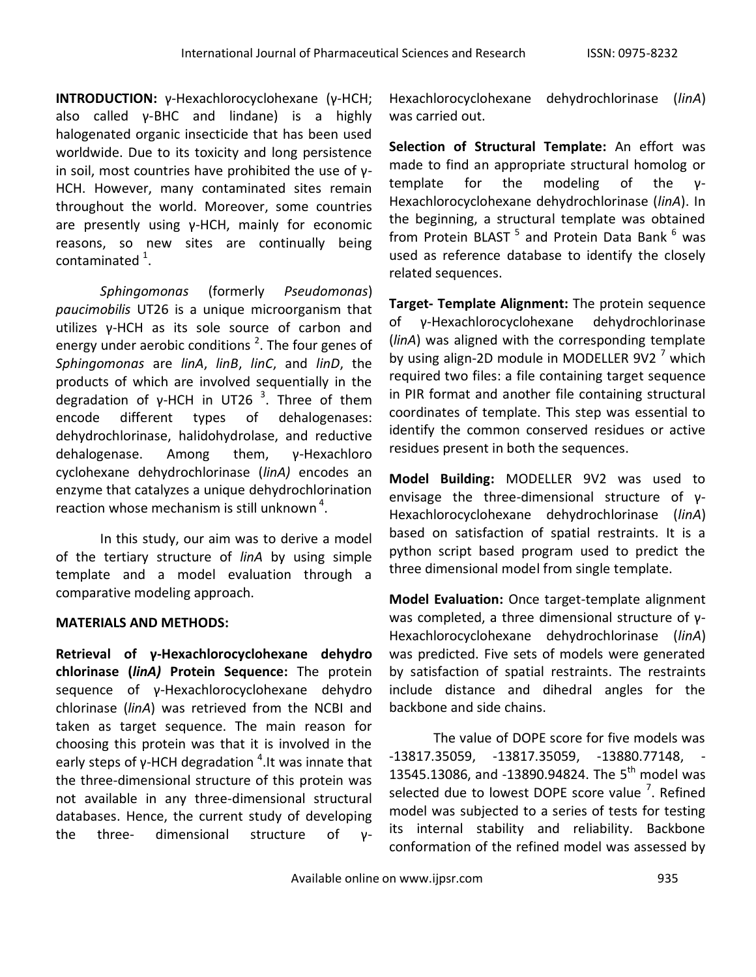**INTRODUCTION:** γ-Hexachlorocyclohexane (γ-HCH; also called γ-BHC and lindane) is a highly halogenated organic insecticide that has been used worldwide. Due to its toxicity and long persistence in soil, most countries have prohibited the use of γ-HCH. However, many contaminated sites remain throughout the world. Moreover, some countries are presently using γ-HCH, mainly for economic reasons, so new sites are continually being contaminated  $^{1}$ .

*Sphingomonas* (formerly *Pseudomonas*) *paucimobilis* UT26 is a unique microorganism that utilizes γ-HCH as its sole source of carbon and energy under aerobic conditions  $^2$ . The four genes of *Sphingomonas* are *linA*, *linB*, *linC*, and *linD*, the products of which are involved sequentially in the degradation of γ-HCH in UT26<sup>3</sup>. Three of them encode different types of dehalogenases: dehydrochlorinase, halidohydrolase, and reductive dehalogenase. Among them, γ-Hexachloro cyclohexane dehydrochlorinase (*linA)* encodes an enzyme that catalyzes a unique dehydrochlorination reaction whose mechanism is still unknown<sup>4</sup>.

In this study, our aim was to derive a model of the tertiary structure of *linA* by using simple template and a model evaluation through a comparative modeling approach.

# **MATERIALS AND METHODS:**

**Retrieval of γ-Hexachlorocyclohexane dehydro chlorinase (***linA)* **Protein Sequence:** The protein sequence of γ-Hexachlorocyclohexane dehydro chlorinase (*linA*) was retrieved from the NCBI and taken as target sequence. The main reason for choosing this protein was that it is involved in the early steps of  $\gamma$ -HCH degradation  $^4$ .It was innate that the three-dimensional structure of this protein was not available in any three-dimensional structural databases. Hence, the current study of developing the three- dimensional structure of γ-

Hexachlorocyclohexane dehydrochlorinase (*linA*) was carried out.

**Selection of Structural Template:** An effort was made to find an appropriate structural homolog or template for the modeling of the γ-Hexachlorocyclohexane dehydrochlorinase (*linA*). In the beginning, a structural template was obtained from Protein BLAST <sup>5</sup> and Protein Data Bank <sup>6</sup> was used as reference database to identify the closely related sequences.

**Target- Template Alignment:** The protein sequence of γ-Hexachlorocyclohexane dehydrochlorinase (*linA*) was aligned with the corresponding template by using align-2D module in MODELLER 9V2 $<sup>7</sup>$  which</sup> required two files: a file containing target sequence in PIR format and another file containing structural coordinates of template. This step was essential to identify the common conserved residues or active residues present in both the sequences.

**Model Building:** MODELLER 9V2 was used to envisage the three-dimensional structure of γ-Hexachlorocyclohexane dehydrochlorinase (*linA*) based on satisfaction of spatial restraints. It is a python script based program used to predict the three dimensional model from single template.

**Model Evaluation:** Once target-template alignment was completed, a three dimensional structure of γ-Hexachlorocyclohexane dehydrochlorinase (*linA*) was predicted. Five sets of models were generated by satisfaction of spatial restraints. The restraints include distance and dihedral angles for the backbone and side chains.

The value of DOPE score for five models was -13817.35059, -13817.35059, -13880.77148, - 13545.13086, and -13890.94824. The 5<sup>th</sup> model was selected due to lowest DOPE score value  $7$ . Refined model was subjected to a series of tests for testing its internal stability and reliability. Backbone conformation of the refined model was assessed by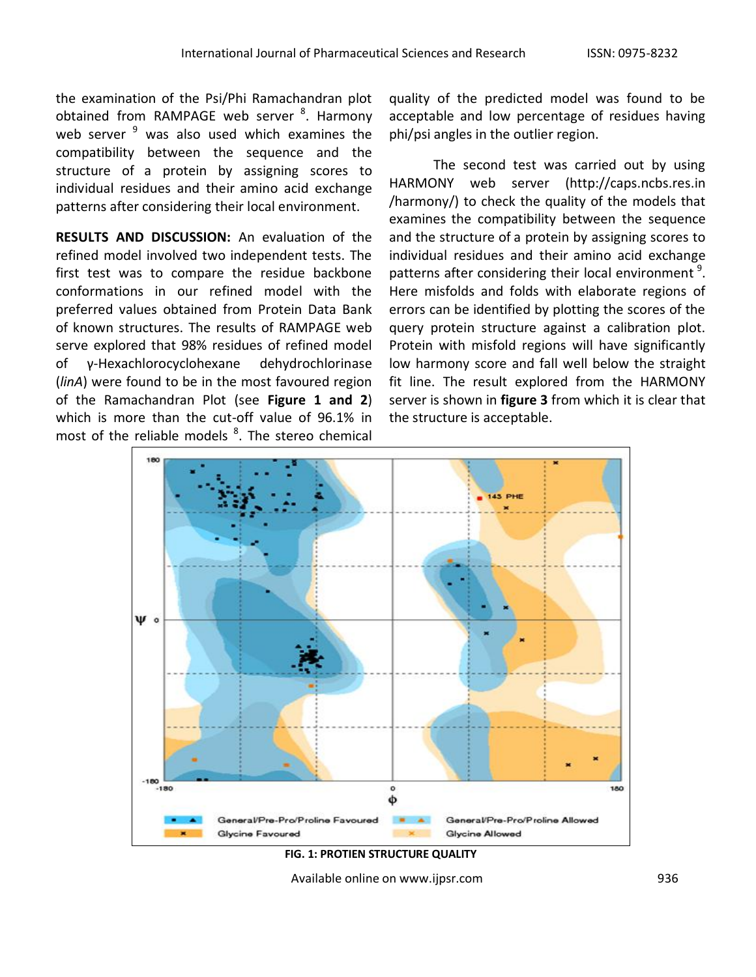the examination of the Psi/Phi Ramachandran plot obtained from RAMPAGE web server <sup>8</sup>. Harmony web server  $9$  was also used which examines the compatibility between the sequence and the structure of a protein by assigning scores to individual residues and their amino acid exchange patterns after considering their local environment.

**RESULTS AND DISCUSSION:** An evaluation of the refined model involved two independent tests. The first test was to compare the residue backbone conformations in our refined model with the preferred values obtained from Protein Data Bank of known structures. The results of RAMPAGE web serve explored that 98% residues of refined model of γ-Hexachlorocyclohexane dehydrochlorinase (*linA*) were found to be in the most favoured region of the Ramachandran Plot (see **Figure 1 and 2**) which is more than the cut-off value of 96.1% in most of the reliable models <sup>8</sup>. The stereo chemical quality of the predicted model was found to be acceptable and low percentage of residues having phi/psi angles in the outlier region.

The second test was carried out by using HARMONY web server (http://caps.ncbs.res.in /harmony/) to check the quality of the models that examines the compatibility between the sequence and the structure of a protein by assigning scores to individual residues and their amino acid exchange patterns after considering their local environment<sup>9</sup>. Here misfolds and folds with elaborate regions of errors can be identified by plotting the scores of the query protein structure against a calibration plot. Protein with misfold regions will have significantly low harmony score and fall well below the straight fit line. The result explored from the HARMONY server is shown in **figure 3** from which it is clear that the structure is acceptable.



**FIG. 1: PROTIEN STRUCTURE QUALITY**

Available online on www.ijpsr.com example on the same of the same of the same of the same of the same of the s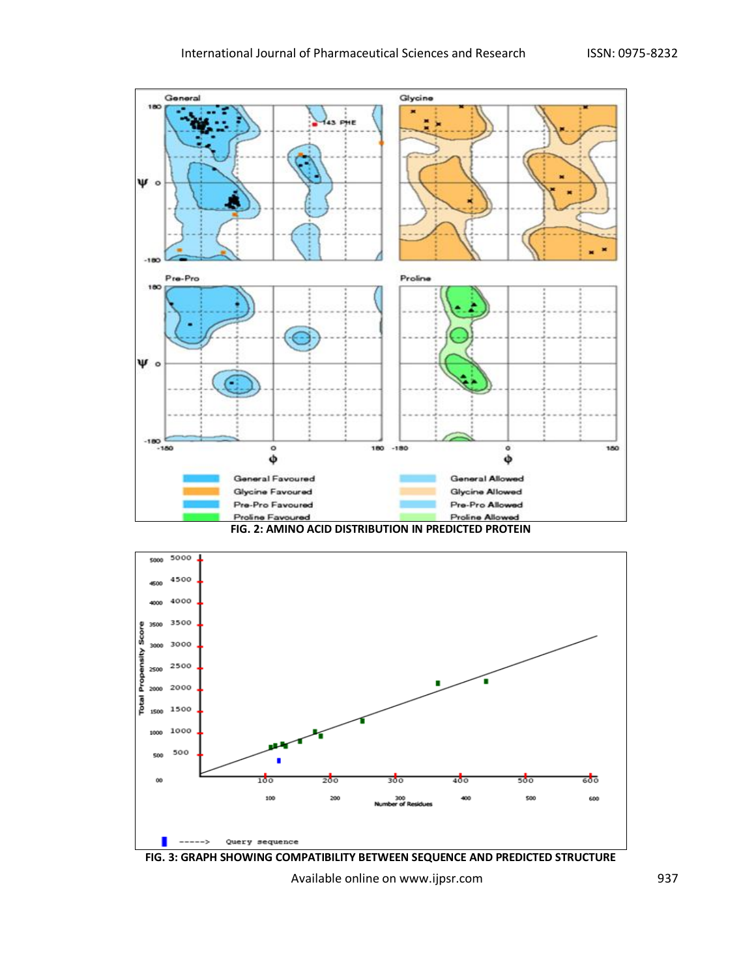







Available online on www.ijpsr.com example and the set of the set of the set of the set of the set of the set o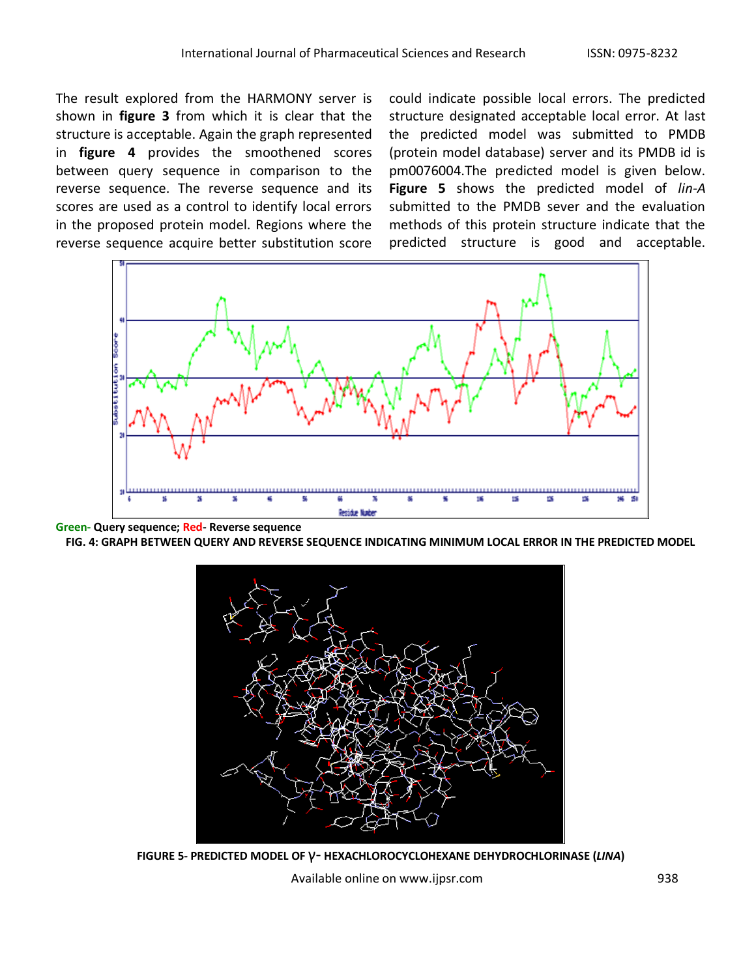The result explored from the HARMONY server is shown in **figure 3** from which it is clear that the structure is acceptable. Again the graph represented in **figure 4** provides the smoothened scores between query sequence in comparison to the reverse sequence. The reverse sequence and its scores are used as a control to identify local errors in the proposed protein model. Regions where the reverse sequence acquire better substitution score could indicate possible local errors. The predicted structure designated acceptable local error. At last the predicted model was submitted to PMDB (protein model database) server and its PMDB id is pm0076004.The predicted model is given below. **Figure 5** shows the predicted model of *lin-A*  submitted to the PMDB sever and the evaluation methods of this protein structure indicate that the predicted structure is good and acceptable.



**Green- Query sequence; Red- Reverse sequence**

**FIG. 4: GRAPH BETWEEN QUERY AND REVERSE SEQUENCE INDICATING MINIMUM LOCAL ERROR IN THE PREDICTED MODEL**



**FIGURE 5- PREDICTED MODEL OF** γ- **HEXACHLOROCYCLOHEXANE DEHYDROCHLORINASE (***LINA***)**

Available online on www.ijpsr.com 938